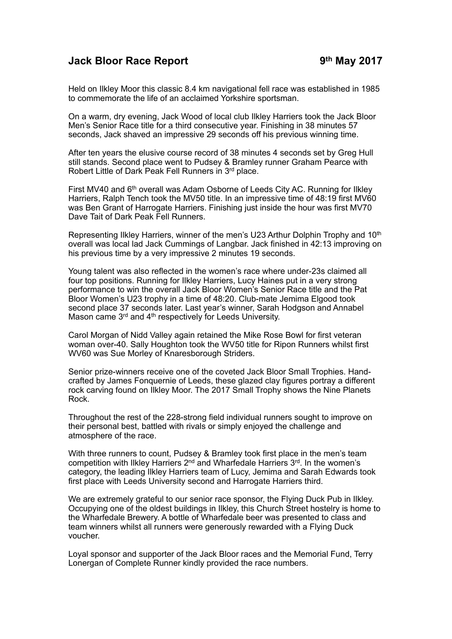## **Jack Bloor Race Report 9th May 2017**

Held on Ilkley Moor this classic 8.4 km navigational fell race was established in 1985 to commemorate the life of an acclaimed Yorkshire sportsman.

On a warm, dry evening, Jack Wood of local club Ilkley Harriers took the Jack Bloor Men's Senior Race title for a third consecutive year. Finishing in 38 minutes 57 seconds, Jack shaved an impressive 29 seconds off his previous winning time.

After ten years the elusive course record of 38 minutes 4 seconds set by Greg Hull still stands. Second place went to Pudsey & Bramley runner Graham Pearce with Robert Little of Dark Peak Fell Runners in 3rd place.

First MV40 and 6<sup>th</sup> overall was Adam Osborne of Leeds City AC. Running for Ilkley Harriers, Ralph Tench took the MV50 title. In an impressive time of 48:19 first MV60 was Ben Grant of Harrogate Harriers. Finishing just inside the hour was first MV70 Dave Tait of Dark Peak Fell Runners.

Representing Ilkley Harriers, winner of the men's U23 Arthur Dolphin Trophy and 10<sup>th</sup> overall was local lad Jack Cummings of Langbar. Jack finished in 42:13 improving on his previous time by a very impressive 2 minutes 19 seconds.

Young talent was also reflected in the women's race where under-23s claimed all four top positions. Running for Ilkley Harriers, Lucy Haines put in a very strong performance to win the overall Jack Bloor Women's Senior Race title and the Pat Bloor Women's U23 trophy in a time of 48:20. Club-mate Jemima Elgood took second place 37 seconds later. Last year's winner, Sarah Hodgson and Annabel Mason came 3<sup>rd</sup> and 4<sup>th</sup> respectively for Leeds University.

Carol Morgan of Nidd Valley again retained the Mike Rose Bowl for first veteran woman over-40. Sally Houghton took the WV50 title for Ripon Runners whilst first WV60 was Sue Morley of Knaresborough Striders.

Senior prize-winners receive one of the coveted Jack Bloor Small Trophies. Handcrafted by James Fonquernie of Leeds, these glazed clay figures portray a different rock carving found on Ilkley Moor. The 2017 Small Trophy shows the Nine Planets Rock.

Throughout the rest of the 228-strong field individual runners sought to improve on their personal best, battled with rivals or simply enjoyed the challenge and atmosphere of the race.

With three runners to count, Pudsey & Bramley took first place in the men's team competition with Ilkley Harriers 2<sup>nd</sup> and Wharfedale Harriers 3<sup>rd</sup>. In the women's category, the leading Ilkley Harriers team of Lucy, Jemima and Sarah Edwards took first place with Leeds University second and Harrogate Harriers third.

We are extremely grateful to our senior race sponsor, the Flying Duck Pub in Ilkley. Occupying one of the oldest buildings in Ilkley, this Church Street hostelry is home to the Wharfedale Brewery. A bottle of Wharfedale beer was presented to class and team winners whilst all runners were generously rewarded with a Flying Duck voucher.

Loyal sponsor and supporter of the Jack Bloor races and the Memorial Fund, Terry Lonergan of Complete Runner kindly provided the race numbers.